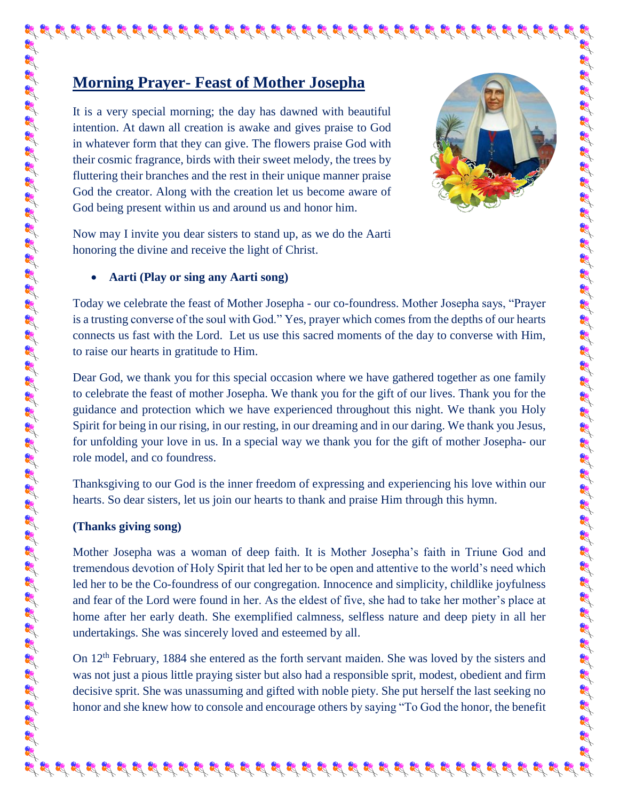## **Morning Prayer- Feast of Mother Josepha**

It is a very special morning; the day has dawned with beautiful intention. At dawn all creation is awake and gives praise to God in whatever form that they can give. The flowers praise God with their cosmic fragrance, birds with their sweet melody, the trees by fluttering their branches and the rest in their unique manner praise God the creator. Along with the creation let us become aware of God being present within us and around us and honor him.



I SE SE SE SE SE SE

تعاليهم والمحال المحال المحال المحال المحال المحال المحال المحال المحال المحال المحال المحال المحال المحال المحال المحال المحال المحال المحال المحال المحال المحال المحال المحال المحال المحال المحال المحال المحال المحال الم

Now may I invite you dear sisters to stand up, as we do the Aarti honoring the divine and receive the light of Christ.

## **Aarti (Play or sing any Aarti song)**

Today we celebrate the feast of Mother Josepha - our co-foundress. Mother Josepha says, "Prayer is a trusting converse of the soul with God." Yes, prayer which comes from the depths of our hearts connects us fast with the Lord. Let us use this sacred moments of the day to converse with Him, to raise our hearts in gratitude to Him.

के पूर्व के रेड पूर्व के दूर पूर्व के पूर्व के पूर्व के दूर पूर्व के पूर्व के पूर्व पूर्व के पूर्व के पूर्व के

Dear God, we thank you for this special occasion where we have gathered together as one family to celebrate the feast of mother Josepha. We thank you for the gift of our lives. Thank you for the guidance and protection which we have experienced throughout this night. We thank you Holy Spirit for being in our rising, in our resting, in our dreaming and in our daring. We thank you Jesus, for unfolding your love in us. In a special way we thank you for the gift of mother Josepha- our role model, and co foundress.

Thanksgiving to our God is the inner freedom of expressing and experiencing his love within our hearts. So dear sisters, let us join our hearts to thank and praise Him through this hymn.

## **(Thanks giving song)**

Mother Josepha was a woman of deep faith. It is Mother Josepha's faith in Triune God and tremendous devotion of Holy Spirit that led her to be open and attentive to the world's need which led her to be the Co-foundress of our congregation. Innocence and simplicity, childlike joyfulness and fear of the Lord were found in her. As the eldest of five, she had to take her mother's place at home after her early death. She exemplified calmness, selfless nature and deep piety in all her undertakings. She was sincerely loved and esteemed by all.

On 12<sup>th</sup> February, 1884 she entered as the forth servant maiden. She was loved by the sisters and was not just a pious little praying sister but also had a responsible sprit, modest, obedient and firm decisive sprit. She was unassuming and gifted with noble piety. She put herself the last seeking no honor and she knew how to console and encourage others by saying "To God the honor, the benefit

 $\mathbf{g}_i^{\ast}\mathbf{g}_i^{\ast}\mathbf{g}_i^{\ast}\mathbf{g}_i^{\ast}\mathbf{g}_i^{\ast}\mathbf{g}_i^{\ast}\mathbf{g}_i^{\ast}\mathbf{g}_i^{\ast}\mathbf{g}_i^{\ast}\mathbf{g}_i^{\ast}\mathbf{g}_i^{\ast}\mathbf{g}_i^{\ast}\mathbf{g}_i^{\ast}\mathbf{g}_i^{\ast}\mathbf{g}_i^{\ast}\mathbf{g}_i^{\ast}\mathbf{g}_i^{\ast}\mathbf{g}_i^{\ast}\mathbf{g}_i^{\ast}\mathbf{g}_i^{\ast}\mathbf{g}_i^{\ast}\mathbf{g}_i^{\ast$